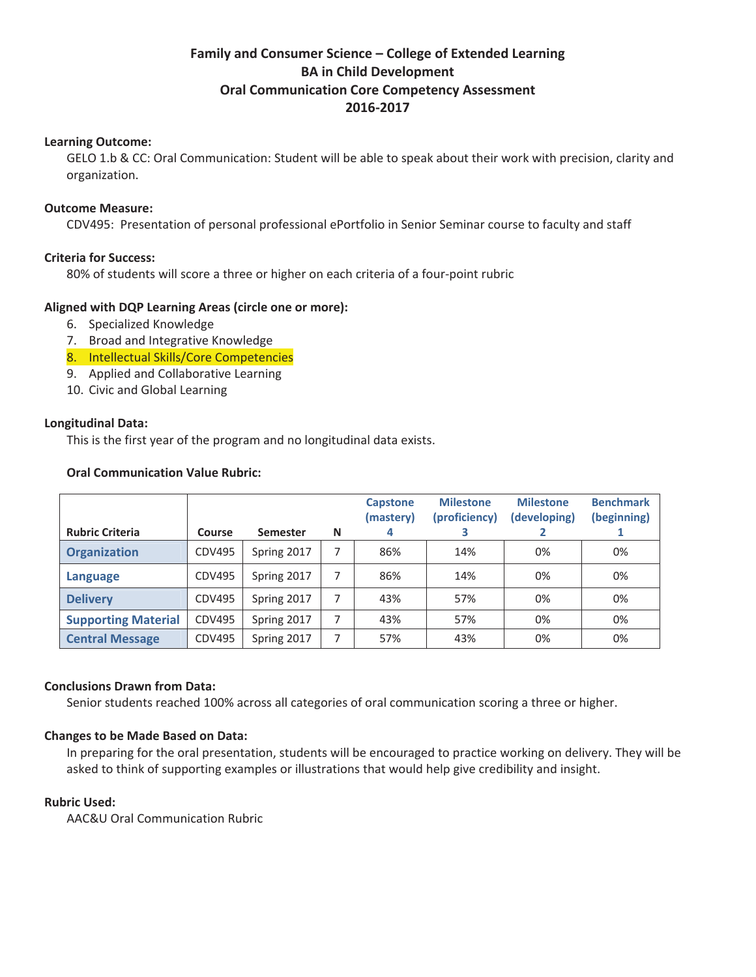# **Family and Consumer Science – College of Extended Learning BA in Child Development Oral Communication Core Competency Assessment 2016Ͳ2017**

### **Learning Outcome:**

GELO 1.b & CC: Oral Communication: Student will be able to speak about their work with precision, clarity and organization.

### **Outcome Measure:**

CDV495: Presentation of personal professional ePortfolio in Senior Seminar course to faculty and staff

# **Criteria for Success:**

80% of students will score a three or higher on each criteria of a four-point rubric

# **Aligned with DQP Learning Areas (circle one or more):**

- 6. Specialized Knowledge
- 7. Broad and Integrative Knowledge
- 8. Intellectual Skills/Core Competencies
- 9. Applied and Collaborative Learning
- 10. Civic and Global Learning

# **Longitudinal Data:**

This is the first year of the program and no longitudinal data exists.

### **Oral Communication Value Rubric:**

| <b>Rubric Criteria</b>     | <b>Course</b> | <b>Semester</b> | N | <b>Capstone</b><br>(mastery)<br>4 | <b>Milestone</b><br>(proficiency)<br>3 | <b>Milestone</b><br>(developing) | <b>Benchmark</b><br>(beginning) |
|----------------------------|---------------|-----------------|---|-----------------------------------|----------------------------------------|----------------------------------|---------------------------------|
| <b>Organization</b>        | CDV495        | Spring 2017     | 7 | 86%                               | 14%                                    | 0%                               | 0%                              |
| Language                   | CDV495        | Spring 2017     |   | 86%                               | 14%                                    | 0%                               | 0%                              |
| <b>Delivery</b>            | <b>CDV495</b> | Spring 2017     |   | 43%                               | 57%                                    | 0%                               | 0%                              |
| <b>Supporting Material</b> | CDV495        | Spring 2017     | 7 | 43%                               | 57%                                    | 0%                               | 0%                              |
| <b>Central Message</b>     | CDV495        | Spring 2017     | 7 | 57%                               | 43%                                    | 0%                               | 0%                              |

### **Conclusions Drawn from Data:**

Senior students reached 100% across all categories of oral communication scoring a three or higher.

# **Changes to be Made Based on Data:**

In preparing for the oral presentation, students will be encouraged to practice working on delivery. They will be asked to think of supporting examples or illustrations that would help give credibility and insight.

### **Rubric Used:**

AAC&U Oral Communication Rubric